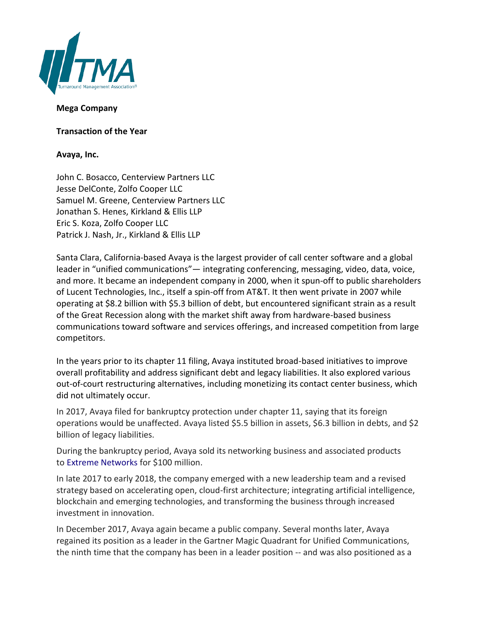

## **Mega Company**

**Transaction of the Year**

## **Avaya, Inc.**

John C. Bosacco, Centerview Partners LLC Jesse DelConte, Zolfo Cooper LLC Samuel M. Greene, Centerview Partners LLC Jonathan S. Henes, Kirkland & Ellis LLP Eric S. Koza, Zolfo Cooper LLC Patrick J. Nash, Jr., Kirkland & Ellis LLP

Santa Clara, California-based Avaya is the largest provider of call center software and a global leader in "unified communications"— integrating conferencing, messaging, video, data, voice, and more. It became an independent company in 2000, when it spun-off to public shareholders of Lucent Technologies, Inc., itself a spin-off from AT&T. It then went private in 2007 while operating at \$8.2 billion with \$5.3 billion of debt, but encountered significant strain as a result of the Great Recession along with the market shift away from hardware-based business communications toward software and services offerings, and increased competition from large competitors.

In the years prior to its chapter 11 filing, Avaya instituted broad-based initiatives to improve overall profitability and address significant debt and legacy liabilities. It also explored various out-of-court restructuring alternatives, including monetizing its contact center business, which did not ultimately occur.

In 2017, Avaya filed for bankruptcy protection under chapter 11, saying that its foreign operations would be unaffected. Avaya listed \$5.5 billion in assets, \$6.3 billion in debts, and \$2 billion of legacy liabilities.

During the bankruptcy period, Avaya sold its networking business and associated products to [Extreme Networks](https://en.wikipedia.org/wiki/Extreme_Networks) for \$100 million.

In late 2017 to early 2018, the company emerged with a new leadership team and a revised strategy based on accelerating open, cloud-first architecture; integrating artificial intelligence, blockchain and emerging technologies, and transforming the business through increased investment in innovation.

In December 2017, Avaya again became a public company. Several months later, Avaya regained its position as a leader in the Gartner Magic Quadrant for Unified Communications, the ninth time that the company has been in a leader position -- and was also positioned as a